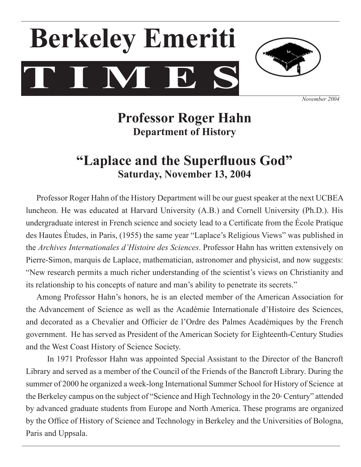# **T I M E S Berkeley Emeriti**



*November 2004*

# **Professor Roger Hahn Department of History**

# **"Laplace and the Superfluous God" Saturday, November 13, 2004**

 Professor Roger Hahn of the History Department will be our guest speaker at the next UCBEA luncheon. He was educated at Harvard University (A.B.) and Cornell University (Ph.D.). His undergraduate interest in French science and society lead to a Certificate from the École Pratique des Hautes Études, in Paris, (1955) the same year "Laplace's Religious Views" was published in the *Archives Internationales d'Histoire des Sciences*. Professor Hahn has written extensively on Pierre-Simon, marquis de Laplace, mathematician, astronomer and physicist, and now suggests: "New research permits a much richer understanding of the scientist's views on Christianity and its relationship to his concepts of nature and man's ability to penetrate its secrets."

Among Professor Hahn's honors, he is an elected member of the American Association for the Advancement of Science as well as the Académie Internationale d'Histoire des Sciences, and decorated as a Chevalier and Officier de l'Ordre des Palmes Académiques by the French government. He has served as President of the American Society for Eighteenth-Century Studies and the West Coast History of Science Society.

In 1971 Professor Hahn was appointed Special Assistant to the Director of the Bancroft Library and served as a member of the Council of the Friends of the Bancroft Library. During the summer of 2000 he organized a week-long International Summer School for History of Science at the Berkeley campus on the subject of "Science and High Technology in the  $20<sup>th</sup>$  Century" attended by advanced graduate students from Europe and North America. These programs are organized by the Office of History of Science and Technology in Berkeley and the Universities of Bologna, Paris and Uppsala.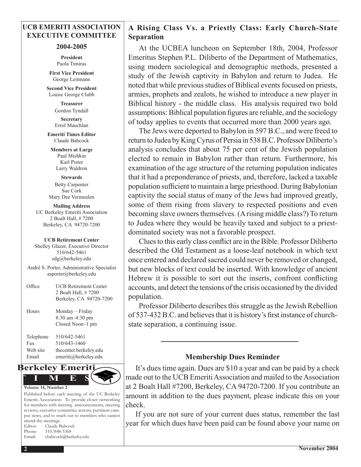#### **UCB EMERITI ASSOCIATION EXECUTIVE COMMITTEE**

#### **2004-2005**

**President** Paola Timiras

**First Vice President** George Leitmann

**Second Vice President** Louise George Clubb

> **Treasurer**  Gordon Tyndall **Secretary**  Errol Mauchlan

**Emeriti Times Editor** Claude Babcock

**Members at Large** Paul Mishkin Karl Pister Larry Waldron

**Stewards** Betty Carpenter Sue Cork Mary Dee Vermeulen

**Mailing Address** UC Berkeley Emeriti Association 2 Boalt Hall, # 7200 Berkeley, CA 94720-7200

#### **UCB Retirement Center**

Shelley Glazer, Executive Director 510/642-5461 sdg@berkeley.edu

André S. Porter, Administrative Specialist asporter@berkeley.edu

| Office                                | <b>UCB Retirement Center</b><br>2 Boalt Hall, #7200<br>Berkeley, CA 94720-7200 |
|---------------------------------------|--------------------------------------------------------------------------------|
| Hours                                 | Monday – Friday<br>$8:30$ am $-4:30$ pm<br>Closed Noon-1 pm                    |
| Telephone<br>Fax<br>Web site<br>Email | 510/642-5461<br>510/643-1460<br>thecenter.berkeley.edu<br>emeriti@berkeley.edu |



Published before each meeting of the UC Berkeley Emeriti Association: To provide closer networking for members with meeting announcements, meeting reviews, executive committee actions, pertinent campus news, and to reach out to members who cannot attend the meetings. Editor: Claude Babcock Phone: 510/848-3368 Email: cbabcock@berkeley.edu

# **A Rising Class Vs. a Priestly Class: Early Church-State Separation**

At the UCBEA luncheon on September 18th, 2004, Professor Emeritus Stephen P.L. Diliberto of the Department of Mathematics, using modern sociological and demographic methods, presented a study of the Jewish captivity in Babylon and return to Judea. He noted that while previous studies of Biblical events focused on priests, armies, prophets and zealots, he wished to introduce a new player in Biblical history - the middle class. His analysis required two bold assumptions: Biblical population figures are reliable, and the sociology of today applies to events that occurred more than 2000 years ago.

The Jews were deported to Babylon in 597 B.C., and were freed to return to Judea by King Cyrus of Persia in 538 B.C. Professor Diliberto's analysis concludes that about 75 per cent of the Jewish population elected to remain in Babylon rather than return. Furthermore, his examination of the age structure of the returning population indicates that it had a preponderance of priests, and, therefore, lacked a taxable population sufficient to maintain a large priesthood. During Babylonian captivity the social status of many of the Jews had improved greatly, some of them rising from slavery to respected positions and even becoming slave owners themselves. (A rising middle class?) To return to Judea where they would be heavily taxed and subject to a priestdominated society was not a favorable prospect.

Clues to this early class conflict are in the Bible. Professor Diliberto described the Old Testament as a loose-leaf notebook in which text once entered and declared sacred could never be removed or changed, but new blocks of text could be inserted. With knowledge of ancient Hebrew it is possible to sort out the inserts, confront conflicting accounts, and detect the tensions of the crisis occasioned by the divided population.

Professor Diliberto describes this struggle as the Jewish Rebellion of 537-432 B.C. and believes that it is history's first instance of churchstate separation, a continuing issue.

## **Membership Dues Reminder**

It's dues time again. Dues are \$10 a year and can be paid by a check made out to the UCB Emeriti Association and mailed to the Association at 2 Boalt Hall #7200, Berkeley, CA 94720-7200. If you contribute an amount in addition to the dues payment, please indicate this on your check.

If you are not sure of your current dues status, remember the last year for which dues have been paid can be found above your name on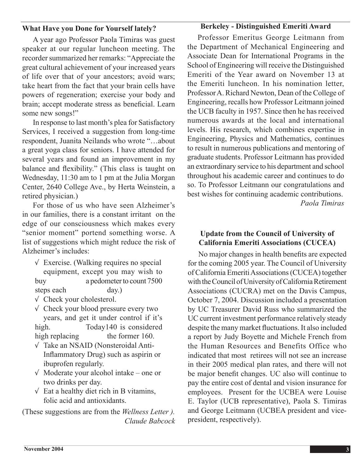## **What Have you Done for Yourself lately?**

## **Berkeley - Distinguished Emeriti Award**

A year ago Professor Paola Timiras was guest speaker at our regular luncheon meeting. The recorder summarized her remarks: "Appreciate the great cultural achievement of your increased years of life over that of your ancestors; avoid wars; take heart from the fact that your brain cells have powers of regeneration; exercise your body and brain; accept moderate stress as beneficial. Learn some new songs!"

In response to last month's plea for Satisfactory Services, I received a suggestion from long-time respondent, Juanita Neilands who wrote "…about a great yoga class for seniors. I have attended for several years and found an improvement in my balance and flexibility." (This class is taught on Wednesday, 11:30 am to 1 pm at the Julia Morgan Center, 2640 College Ave., by Herta Weinstein, a retired physician.)

For those of us who have seen Alzheimer's in our families, there is a constant irritant on the edge of our consciousness which makes every "senior moment" portend something worse. A list of suggestions which might reduce the risk of Alzheimer's includes:

- $\sqrt{\ }$  Exercise. (Walking requires no special equipment, except you may wish to buy a pedometer to count 7500 steps each day.)
- $\sqrt{\ }$  Check your cholesterol.
- √ Check your blood pressure every two years, and get it under control if it's high. Today140 is considered high replacing the former 160.
- √ Take an NSAID (Nonsteroidal Anti-Inflammatory Drug) such as aspirin or ibuprofen regularly.
- $\sqrt{\ }$  Moderate your alcohol intake one or two drinks per day.
- $\sqrt{\ }$  Eat a healthy diet rich in B vitamins, folic acid and antioxidants.

(These suggestions are from the *Wellness Letter ). Claude Babcock*

Professor Emeritus George Leitmann from the Department of Mechanical Engineering and Associate Dean for International Programs in the School of Engineering will receive the Distinguished Emeriti of the Year award on November 13 at the Emeriti luncheon. In his nomination letter, Professor A. Richard Newton, Dean of the College of Engineering, recalls how Professor Leitmann joined the UCB faculty in 1957. Since then he has received numerous awards at the local and international levels. His research, which combines expertise in Engineering, Physics and Mathematics, continues to result in numerous publications and mentoring of graduate students. Professor Leitmann has provided an extraordinary service to his department and school throughout his academic career and continues to do so. To Professor Leitmann our congratulations and best wishes for continuing academic contributions. *Paola Timiras*

# **Update from the Council of University of California Emeriti Associations (CUCEA)**

No major changes in health benefits are expected for the coming 2005 year. The Council of University of California EmeritiAssociations(CUCEA) together with the Council of University of California Retirement Associations (CUCRA) met on the Davis Campus, October 7, 2004. Discussion included a presentation by UC Treasurer David Russ who summarized the UC current investment performance relatively steady despite the many market fluctuations. It also included a report by Judy Boyette and Michele French from the Human Resources and Benefits Office who indicated that most retirees will not see an increase in their 2005 medical plan rates, and there will not be major benefit changes. UC also will continue to pay the entire cost of dental and vision insurance for employees. Present for the UCBEA were Louise E. Taylor (UCB representative), Paola S. Timiras and George Leitmann (UCBEA president and vicepresident, respectively).